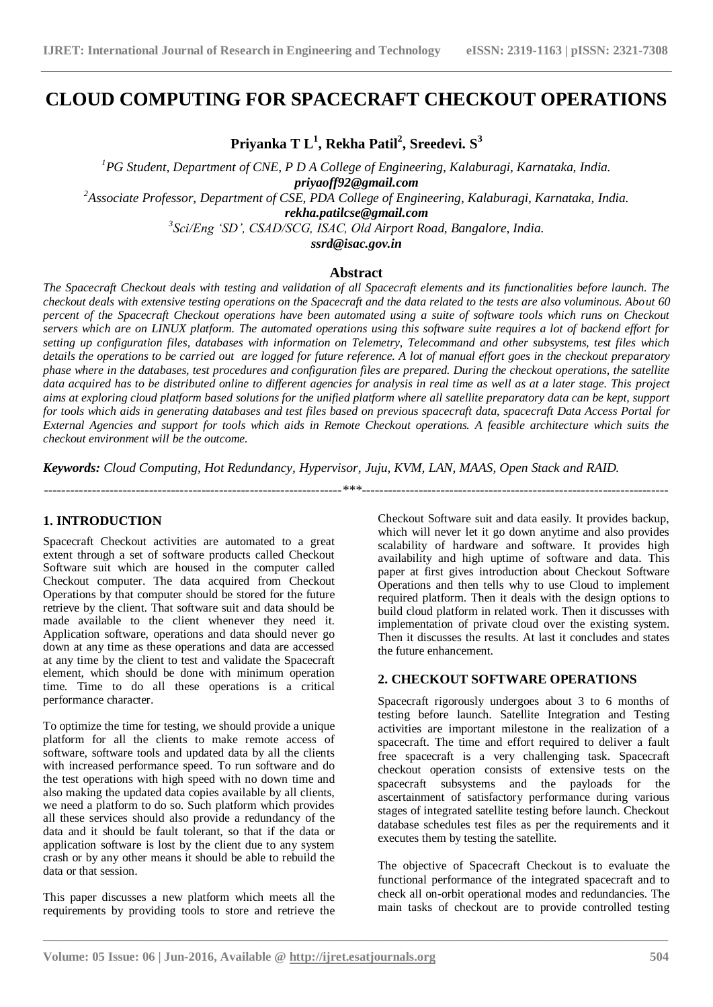# **CLOUD COMPUTING FOR SPACECRAFT CHECKOUT OPERATIONS**

**Priyanka T L<sup>1</sup> , Rekha Patil<sup>2</sup> , Sreedevi. S<sup>3</sup>**

*<sup>1</sup>PG Student, Department of CNE, P D A College of Engineering, Kalaburagi, Karnataka, India. priyaoff92@gmail.com <sup>2</sup>Associate Professor, Department of CSE, PDA College of Engineering, Kalaburagi, Karnataka, India. rekha.patilcse@gmail.com 3 Sci/Eng 'SD', CSAD/SCG, ISAC, Old Airport Road, Bangalore, India.*

*ssrd@isac.gov.in*

## **Abstract**

*The Spacecraft Checkout deals with testing and validation of all Spacecraft elements and its functionalities before launch. The checkout deals with extensive testing operations on the Spacecraft and the data related to the tests are also voluminous. About 60 percent of the Spacecraft Checkout operations have been automated using a suite of software tools which runs on Checkout servers which are on LINUX platform. The automated operations using this software suite requires a lot of backend effort for setting up configuration files, databases with information on Telemetry, Telecommand and other subsystems, test files which details the operations to be carried out are logged for future reference. A lot of manual effort goes in the checkout preparatory phase where in the databases, test procedures and configuration files are prepared. During the checkout operations, the satellite data acquired has to be distributed online to different agencies for analysis in real time as well as at a later stage. This project aims at exploring cloud platform based solutions for the unified platform where all satellite preparatory data can be kept, support for tools which aids in generating databases and test files based on previous spacecraft data, spacecraft Data Access Portal for External Agencies and support for tools which aids in Remote Checkout operations. A feasible architecture which suits the checkout environment will be the outcome.*

*Keywords: Cloud Computing, Hot Redundancy, Hypervisor, Juju, KVM, LAN, MAAS, Open Stack and RAID.* 

*--------------------------------------------------------------------\*\*\*----------------------------------------------------------------------*

**\_\_\_\_\_\_\_\_\_\_\_\_\_\_\_\_\_\_\_\_\_\_\_\_\_\_\_\_\_\_\_\_\_\_\_\_\_\_\_\_\_\_\_\_\_\_\_\_\_\_\_\_\_\_\_\_\_\_\_\_\_\_\_\_\_\_\_\_\_\_\_\_\_\_\_\_\_\_\_\_\_\_\_\_\_\_\_**

# **1. INTRODUCTION**

Spacecraft Checkout activities are automated to a great extent through a set of software products called Checkout Software suit which are housed in the computer called Checkout computer. The data acquired from Checkout Operations by that computer should be stored for the future retrieve by the client. That software suit and data should be made available to the client whenever they need it. Application software, operations and data should never go down at any time as these operations and data are accessed at any time by the client to test and validate the Spacecraft element, which should be done with minimum operation time. Time to do all these operations is a critical performance character.

To optimize the time for testing, we should provide a unique platform for all the clients to make remote access of software, software tools and updated data by all the clients with increased performance speed. To run software and do the test operations with high speed with no down time and also making the updated data copies available by all clients, we need a platform to do so. Such platform which provides all these services should also provide a redundancy of the data and it should be fault tolerant, so that if the data or application software is lost by the client due to any system crash or by any other means it should be able to rebuild the data or that session.

This paper discusses a new platform which meets all the requirements by providing tools to store and retrieve the Checkout Software suit and data easily. It provides backup, which will never let it go down anytime and also provides scalability of hardware and software. It provides high availability and high uptime of software and data. This paper at first gives introduction about Checkout Software Operations and then tells why to use Cloud to implement required platform. Then it deals with the design options to build cloud platform in related work. Then it discusses with implementation of private cloud over the existing system. Then it discusses the results. At last it concludes and states the future enhancement.

## **2. CHECKOUT SOFTWARE OPERATIONS**

Spacecraft rigorously undergoes about 3 to 6 months of testing before launch. Satellite Integration and Testing activities are important milestone in the realization of a spacecraft. The time and effort required to deliver a fault free spacecraft is a very challenging task. Spacecraft checkout operation consists of extensive tests on the spacecraft subsystems and the payloads for the ascertainment of satisfactory performance during various stages of integrated satellite testing before launch. Checkout database schedules test files as per the requirements and it executes them by testing the satellite.

The objective of Spacecraft Checkout is to evaluate the functional performance of the integrated spacecraft and to check all on-orbit operational modes and redundancies. The main tasks of checkout are to provide controlled testing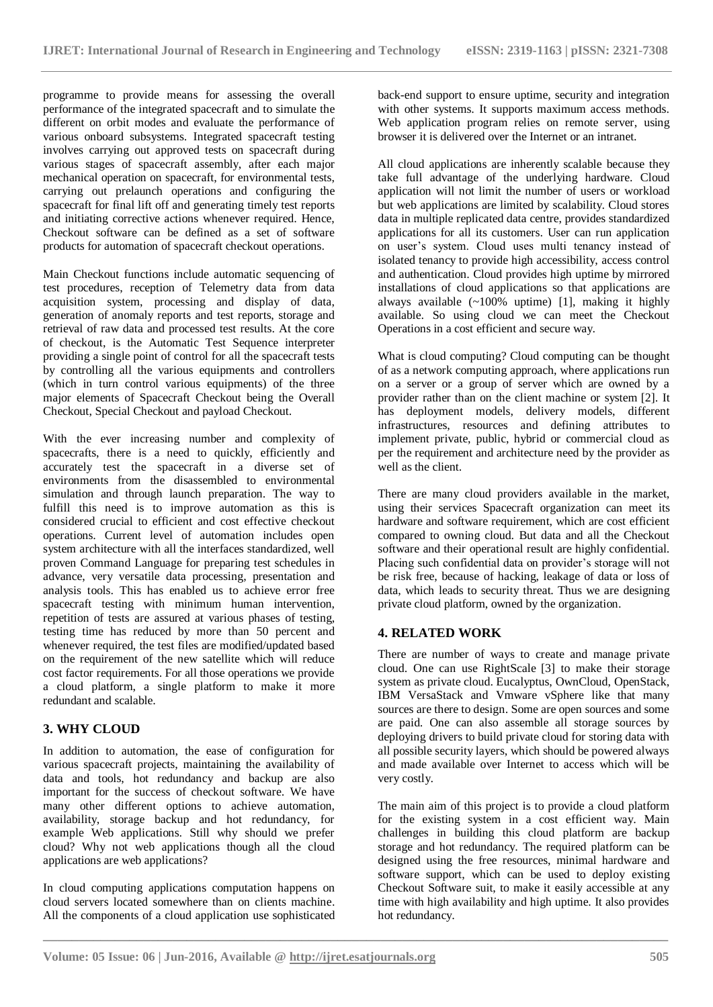programme to provide means for assessing the overall performance of the integrated spacecraft and to simulate the different on orbit modes and evaluate the performance of various onboard subsystems. Integrated spacecraft testing involves carrying out approved tests on spacecraft during various stages of spacecraft assembly, after each major mechanical operation on spacecraft, for environmental tests, carrying out prelaunch operations and configuring the spacecraft for final lift off and generating timely test reports and initiating corrective actions whenever required. Hence, Checkout software can be defined as a set of software products for automation of spacecraft checkout operations.

Main Checkout functions include automatic sequencing of test procedures, reception of Telemetry data from data acquisition system, processing and display of data, generation of anomaly reports and test reports, storage and retrieval of raw data and processed test results. At the core of checkout, is the Automatic Test Sequence interpreter providing a single point of control for all the spacecraft tests by controlling all the various equipments and controllers (which in turn control various equipments) of the three major elements of Spacecraft Checkout being the Overall Checkout, Special Checkout and payload Checkout.

With the ever increasing number and complexity of spacecrafts, there is a need to quickly, efficiently and accurately test the spacecraft in a diverse set of environments from the disassembled to environmental simulation and through launch preparation. The way to fulfill this need is to improve automation as this is considered crucial to efficient and cost effective checkout operations. Current level of automation includes open system architecture with all the interfaces standardized, well proven Command Language for preparing test schedules in advance, very versatile data processing, presentation and analysis tools. This has enabled us to achieve error free spacecraft testing with minimum human intervention, repetition of tests are assured at various phases of testing, testing time has reduced by more than 50 percent and whenever required, the test files are modified/updated based on the requirement of the new satellite which will reduce cost factor requirements. For all those operations we provide a cloud platform, a single platform to make it more redundant and scalable.

# **3. WHY CLOUD**

In addition to automation, the ease of configuration for various spacecraft projects, maintaining the availability of data and tools, hot redundancy and backup are also important for the success of checkout software. We have many other different options to achieve automation, availability, storage backup and hot redundancy, for example Web applications. Still why should we prefer cloud? Why not web applications though all the cloud applications are web applications?

In cloud computing applications computation happens on cloud servers located somewhere than on clients machine. All the components of a cloud application use sophisticated

back-end support to ensure uptime, security and integration with other systems. It supports maximum access methods. Web application program relies on remote server, using browser it is delivered over the Internet or an intranet.

All cloud applications are inherently scalable because they take full advantage of the underlying hardware. Cloud application will not limit the number of users or workload but web applications are limited by scalability. Cloud stores data in multiple replicated data centre, provides standardized applications for all its customers. User can run application on user's system. Cloud uses multi tenancy instead of isolated tenancy to provide high accessibility, access control and authentication. Cloud provides high uptime by mirrored installations of cloud applications so that applications are always available  $\left(\sim 100\%$  uptime) [1], making it highly available. So using cloud we can meet the Checkout Operations in a cost efficient and secure way.

What is cloud computing? Cloud computing can be thought of as a network computing approach, where applications run on a server or a group of server which are owned by a provider rather than on the client machine or system [2]. It has deployment models, delivery models, different infrastructures, resources and defining attributes to implement private, public, hybrid or commercial cloud as per the requirement and architecture need by the provider as well as the client.

There are many cloud providers available in the market, using their services Spacecraft organization can meet its hardware and software requirement, which are cost efficient compared to owning cloud. But data and all the Checkout software and their operational result are highly confidential. Placing such confidential data on provider's storage will not be risk free, because of hacking, leakage of data or loss of data, which leads to security threat. Thus we are designing private cloud platform, owned by the organization.

# **4. RELATED WORK**

There are number of ways to create and manage private cloud. One can use RightScale [3] to make their storage system as private cloud. Eucalyptus, OwnCloud, OpenStack, IBM VersaStack and Vmware vSphere like that many sources are there to design. Some are open sources and some are paid. One can also assemble all storage sources by deploying drivers to build private cloud for storing data with all possible security layers, which should be powered always and made available over Internet to access which will be very costly.

The main aim of this project is to provide a cloud platform for the existing system in a cost efficient way. Main challenges in building this cloud platform are backup storage and hot redundancy. The required platform can be designed using the free resources, minimal hardware and software support, which can be used to deploy existing Checkout Software suit, to make it easily accessible at any time with high availability and high uptime. It also provides hot redundancy.

**\_\_\_\_\_\_\_\_\_\_\_\_\_\_\_\_\_\_\_\_\_\_\_\_\_\_\_\_\_\_\_\_\_\_\_\_\_\_\_\_\_\_\_\_\_\_\_\_\_\_\_\_\_\_\_\_\_\_\_\_\_\_\_\_\_\_\_\_\_\_\_\_\_\_\_\_\_\_\_\_\_\_\_\_\_\_\_**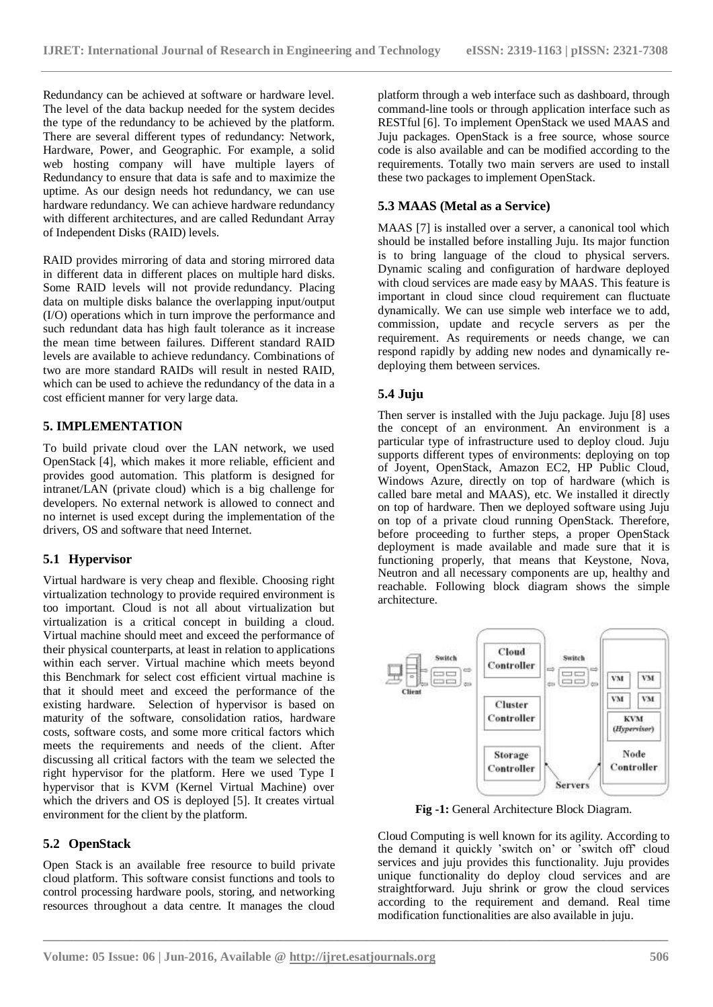Redundancy can be achieved at software or hardware level. The level of the data backup needed for the system decides the type of the redundancy to be achieved by the platform. There are several different types of redundancy: Network, Hardware, Power, and Geographic. For example, a solid web hosting company will have multiple layers of Redundancy to ensure that data is safe and to maximize the uptime. As our design needs hot redundancy, we can use hardware redundancy. We can achieve hardware redundancy with different architectures, and are called Redundant Array of Independent Disks (RAID) levels.

RAID provides mirroring of data and storing mirrored data in different data in different places on multiple hard disks. Some RAID levels will not provide redundancy. Placing data on multiple disks balance the overlapping input/output (I/O) operations which in turn improve the performance and such redundant data has high fault tolerance as it increase the mean time between failures. Different standard RAID levels are available to achieve redundancy. Combinations of two are more standard RAIDs will result in nested RAID, which can be used to achieve the redundancy of the data in a cost efficient manner for very large data.

## **5. IMPLEMENTATION**

To build private cloud over the LAN network, we used OpenStack [4], which makes it more reliable, efficient and provides good automation. This platform is designed for intranet/LAN (private cloud) which is a big challenge for developers. No external network is allowed to connect and no internet is used except during the implementation of the drivers, OS and software that need Internet.

## **5.1 Hypervisor**

Virtual hardware is very cheap and flexible. Choosing right virtualization technology to provide required environment is too important. Cloud is not all about virtualization but virtualization is a critical concept in building a cloud. Virtual machine should meet and exceed the performance of their physical counterparts, at least in relation to applications within each server. Virtual machine which meets beyond this Benchmark for select cost efficient virtual machine is that it should meet and exceed the performance of the existing hardware. Selection of hypervisor is based on maturity of the software, consolidation ratios, hardware costs, software costs, and some more critical factors which meets the requirements and needs of the client. After discussing all critical factors with the team we selected the right hypervisor for the platform. Here we used Type I hypervisor that is KVM (Kernel Virtual Machine) over which the drivers and OS is deployed [5]. It creates virtual environment for the client by the platform.

# **5.2 OpenStack**

Open Stack is an available free resource to build private cloud platform. This software consist functions and tools to control processing hardware pools, storing, and networking resources throughout a data centre. It manages the cloud

platform through a web interface such as dashboard, through command-line tools or through application interface such as RESTful [6]. To implement OpenStack we used MAAS and Juju packages. OpenStack is a free source, whose source code is also available and can be modified according to the requirements. Totally two main servers are used to install these two packages to implement OpenStack.

## **5.3 MAAS (Metal as a Service)**

MAAS [7] is installed over a server, a canonical tool which should be installed before installing Juju. Its major function is to bring language of the cloud to physical servers. Dynamic scaling and configuration of hardware deployed with cloud services are made easy by MAAS. This feature is important in cloud since cloud requirement can fluctuate dynamically. We can use simple web interface we to add, commission, update and recycle servers as per the requirement. As requirements or needs change, we can respond rapidly by adding new nodes and dynamically redeploying them between services.

## **5.4 Juju**

Then server is installed with the Juju package. Juju [8] uses the concept of an environment. An environment is a particular type of infrastructure used to deploy cloud. Juju supports different types of environments: deploying on top of Joyent, OpenStack, Amazon EC2, HP Public Cloud, Windows Azure, directly on top of hardware (which is called bare metal and MAAS), etc. We installed it directly on top of hardware. Then we deployed software using Juju on top of a private cloud running OpenStack. Therefore, before proceeding to further steps, a proper OpenStack deployment is made available and made sure that it is functioning properly, that means that Keystone, Nova, Neutron and all necessary components are up, healthy and reachable. Following block diagram shows the simple architecture.



**Fig -1:** General Architecture Block Diagram.

Cloud Computing is well known for its agility. According to the demand it quickly 'switch on' or 'switch off' cloud services and juju provides this functionality. Juju provides unique functionality do deploy cloud services and are straightforward. Juju shrink or grow the cloud services according to the requirement and demand. Real time modification functionalities are also available in juju.

**\_\_\_\_\_\_\_\_\_\_\_\_\_\_\_\_\_\_\_\_\_\_\_\_\_\_\_\_\_\_\_\_\_\_\_\_\_\_\_\_\_\_\_\_\_\_\_\_\_\_\_\_\_\_\_\_\_\_\_\_\_\_\_\_\_\_\_\_\_\_\_\_\_\_\_\_\_\_\_\_\_\_\_\_\_\_\_**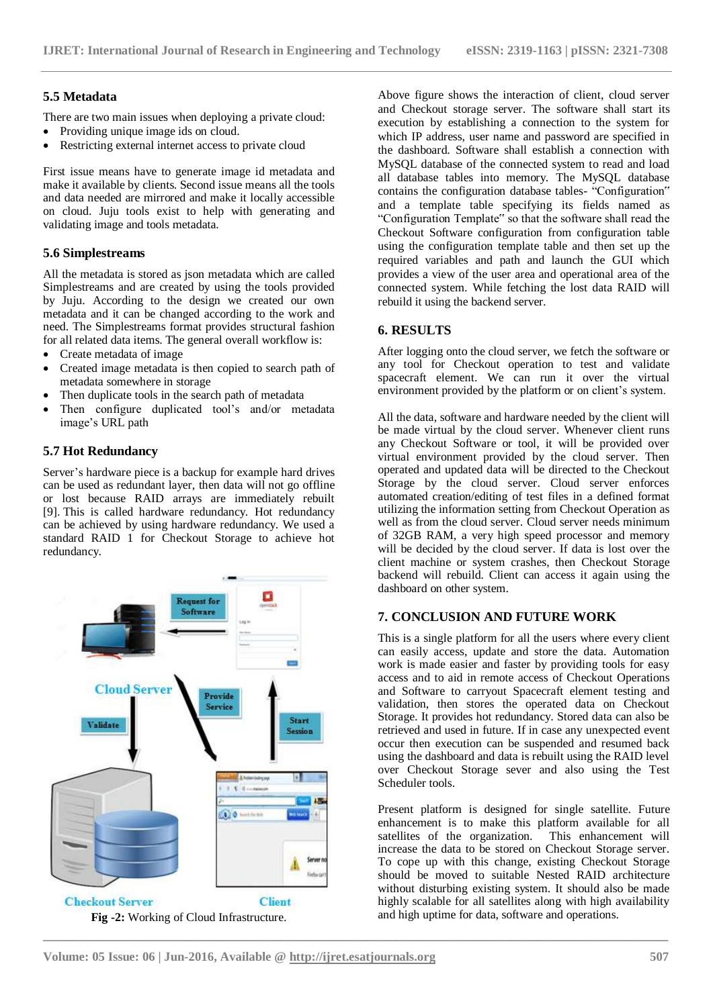#### **5.5 Metadata**

There are two main issues when deploying a private cloud:

- Providing unique image ids on cloud.
- Restricting external internet access to private cloud

First issue means have to generate image id metadata and make it available by clients. Second issue means all the tools and data needed are mirrored and make it locally accessible on cloud. Juju tools exist to help with generating and validating image and tools metadata.

#### **5.6 Simplestreams**

All the metadata is stored as json metadata which are called Simplestreams and are created by using the tools provided by Juju. According to the design we created our own metadata and it can be changed according to the work and need. The Simplestreams format provides structural fashion for all related data items. The general overall workflow is:

- Create metadata of image
- Created image metadata is then copied to search path of metadata somewhere in storage
- Then duplicate tools in the search path of metadata
- Then configure duplicated tool's and/or metadata image's URL path

## **5.7 Hot Redundancy**

Server's hardware piece is a backup for example hard drives can be used as redundant layer, then data will not go offline or lost because RAID arrays are immediately rebuilt [9]. This is called hardware redundancy. Hot redundancy can be achieved by using hardware redundancy. We used a standard RAID 1 for Checkout Storage to achieve hot redundancy.



Above figure shows the interaction of client, cloud server and Checkout storage server. The software shall start its execution by establishing a connection to the system for which IP address, user name and password are specified in the dashboard. Software shall establish a connection with MySQL database of the connected system to read and load all database tables into memory. The MySQL database contains the configuration database tables- "Configuration" and a template table specifying its fields named as "Configuration Template" so that the software shall read the Checkout Software configuration from configuration table using the configuration template table and then set up the required variables and path and launch the GUI which provides a view of the user area and operational area of the connected system. While fetching the lost data RAID will rebuild it using the backend server.

#### **6. RESULTS**

After logging onto the cloud server, we fetch the software or any tool for Checkout operation to test and validate spacecraft element. We can run it over the virtual environment provided by the platform or on client's system.

All the data, software and hardware needed by the client will be made virtual by the cloud server. Whenever client runs any Checkout Software or tool, it will be provided over virtual environment provided by the cloud server. Then operated and updated data will be directed to the Checkout Storage by the cloud server. Cloud server enforces automated creation/editing of test files in a defined format utilizing the information setting from Checkout Operation as well as from the cloud server. Cloud server needs minimum of 32GB RAM, a very high speed processor and memory will be decided by the cloud server. If data is lost over the client machine or system crashes, then Checkout Storage backend will rebuild. Client can access it again using the dashboard on other system.

## **7. CONCLUSION AND FUTURE WORK**

This is a single platform for all the users where every client can easily access, update and store the data. Automation work is made easier and faster by providing tools for easy access and to aid in remote access of Checkout Operations and Software to carryout Spacecraft element testing and validation, then stores the operated data on Checkout Storage. It provides hot redundancy. Stored data can also be retrieved and used in future. If in case any unexpected event occur then execution can be suspended and resumed back using the dashboard and data is rebuilt using the RAID level over Checkout Storage sever and also using the Test Scheduler tools.

Present platform is designed for single satellite. Future enhancement is to make this platform available for all satellites of the organization. This enhancement will increase the data to be stored on Checkout Storage server. To cope up with this change, existing Checkout Storage should be moved to suitable Nested RAID architecture without disturbing existing system. It should also be made highly scalable for all satellites along with high availability and high uptime for data, software and operations.